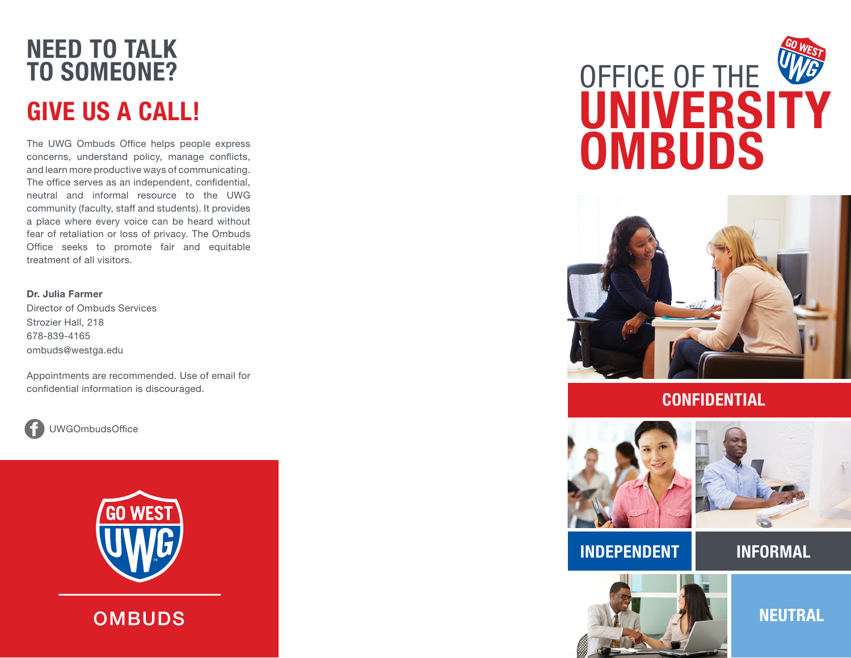## NEED TO TALK TO SOMEONE? GIVE US A CALL!

The UWG Ombuds Office helps people express concerns, understand policy, manage conflicts, and learn more productive ways of communicating. The office serves as an independent, confidential, neutral and informal resource to the UWG community (faculty, staff and students). It provides a place where every voice can be heard without fear of retaliation or loss of privacy. The Ombuds Office seeks to promote fair and equitable treatment of all visitors.

Dr. Julia Farmer Director of Ombuds Services Strozier Hall, 218 678-839-4165 ombuds@westga.edu

Appointments are recommended. Use of email for confidential information is discouraged.



UWGOmbudsOffice



**OMBUDS** 

# OFFICE OF THE W *UNIVERSITY* **OMBUDS**



### **CONFIDENTIAL**





### INDEPENDENT INFORMAL

**NEUTRAL**